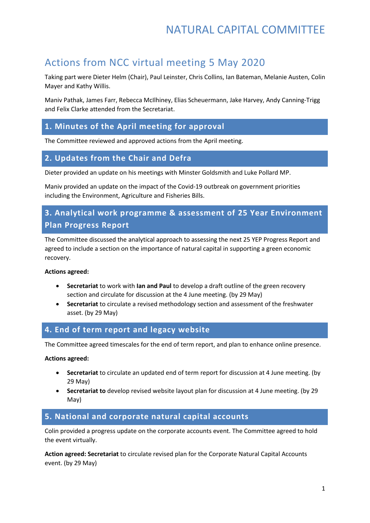## NATURAL CAPITAL COMMITTEE

## Actions from NCC virtual meeting 5 May 2020

Taking part were Dieter Helm (Chair), Paul Leinster, Chris Collins, Ian Bateman, Melanie Austen, Colin Mayer and Kathy Willis.

Maniv Pathak, James Farr, Rebecca McIlhiney, Elias Scheuermann, Jake Harvey, Andy Canning-Trigg and Felix Clarke attended from the Secretariat.

## **1. Minutes of the April meeting for approval**

The Committee reviewed and approved actions from the April meeting.

### **2. Updates from the Chair and Defra**

Dieter provided an update on his meetings with Minster Goldsmith and Luke Pollard MP.

Maniv provided an update on the impact of the Covid-19 outbreak on government priorities including the Environment, Agriculture and Fisheries Bills.

## **3. Analytical work programme & assessment of 25 Year Environment Plan Progress Report**

The Committee discussed the analytical approach to assessing the next 25 YEP Progress Report and agreed to include a section on the importance of natural capital in supporting a green economic recovery.

#### **Actions agreed:**

- **Secretariat** to work with **Ian and Paul** to develop a draft outline of the green recovery section and circulate for discussion at the 4 June meeting. (by 29 May)
- **Secretariat** to circulate a revised methodology section and assessment of the freshwater asset. (by 29 May)

#### **4. End of term report and legacy website**

The Committee agreed timescales for the end of term report, and plan to enhance online presence.

#### **Actions agreed:**

- **Secretariat** to circulate an updated end of term report for discussion at 4 June meeting. (by 29 May)
- **Secretariat to** develop revised website layout plan for discussion at 4 June meeting. (by 29 May)

#### **5. National and corporate natural capital accounts**

Colin provided a progress update on the corporate accounts event. The Committee agreed to hold the event virtually.

**Action agreed: Secretariat** to circulate revised plan for the Corporate Natural Capital Accounts event. (by 29 May)